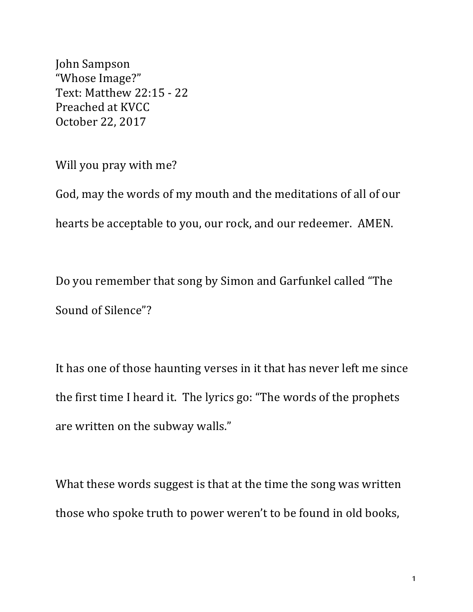John Sampson "Whose Image?" Text: Matthew 22:15 - 22 Preached at KVCC October 22, 2017

Will you pray with me?

God, may the words of my mouth and the meditations of all of our hearts be acceptable to you, our rock, and our redeemer. AMEN.

Do you remember that song by Simon and Garfunkel called "The Sound of Silence"?

It has one of those haunting verses in it that has never left me since the first time I heard it. The lyrics go: "The words of the prophets are written on the subway walls."

What these words suggest is that at the time the song was written those who spoke truth to power weren't to be found in old books,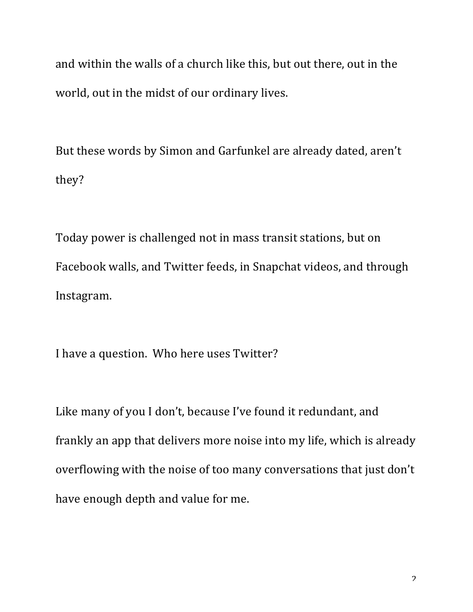and within the walls of a church like this, but out there, out in the world, out in the midst of our ordinary lives.

But these words by Simon and Garfunkel are already dated, aren't they?

Today power is challenged not in mass transit stations, but on Facebook walls, and Twitter feeds, in Snapchat videos, and through Instagram. 

I have a question. Who here uses Twitter?

Like many of you I don't, because I've found it redundant, and frankly an app that delivers more noise into my life, which is already overflowing with the noise of too many conversations that just don't have enough depth and value for me.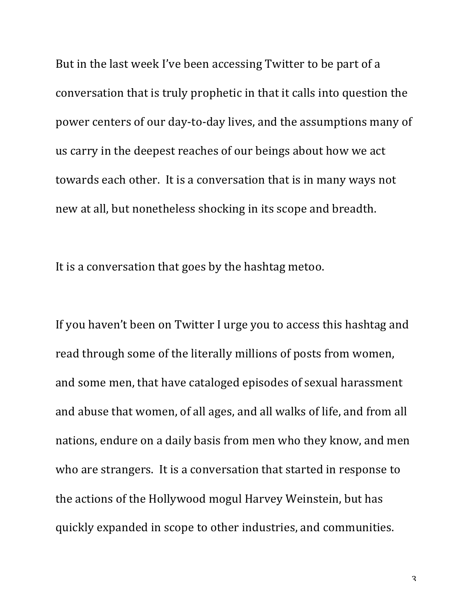But in the last week I've been accessing Twitter to be part of a conversation that is truly prophetic in that it calls into question the power centers of our day-to-day lives, and the assumptions many of us carry in the deepest reaches of our beings about how we act towards each other. It is a conversation that is in many ways not new at all, but nonetheless shocking in its scope and breadth.

It is a conversation that goes by the hashtag metoo.

If you haven't been on Twitter I urge you to access this hashtag and read through some of the literally millions of posts from women, and some men, that have cataloged episodes of sexual harassment and abuse that women, of all ages, and all walks of life, and from all nations, endure on a daily basis from men who they know, and men who are strangers. It is a conversation that started in response to the actions of the Hollywood mogul Harvey Weinstein, but has quickly expanded in scope to other industries, and communities.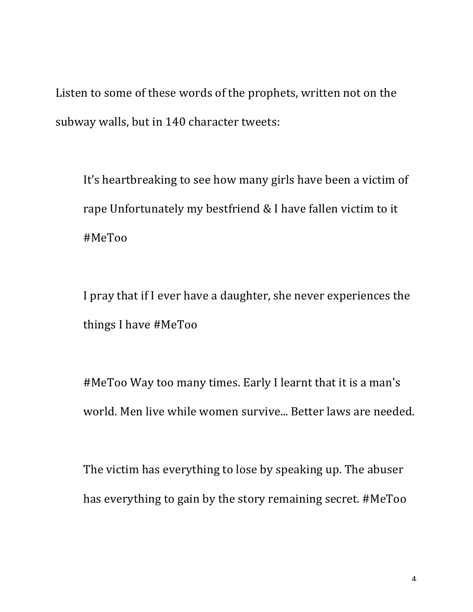Listen to some of these words of the prophets, written not on the subway walls, but in 140 character tweets:

It's heartbreaking to see how many girls have been a victim of rape Unfortunately my bestfriend  $&$  I have fallen victim to it #MeToo

I pray that if I ever have a daughter, she never experiences the things I have #MeToo

#MeToo Way too many times. Early I learnt that it is a man's world. Men live while women survive... Better laws are needed.

The victim has everything to lose by speaking up. The abuser has everything to gain by the story remaining secret. #MeToo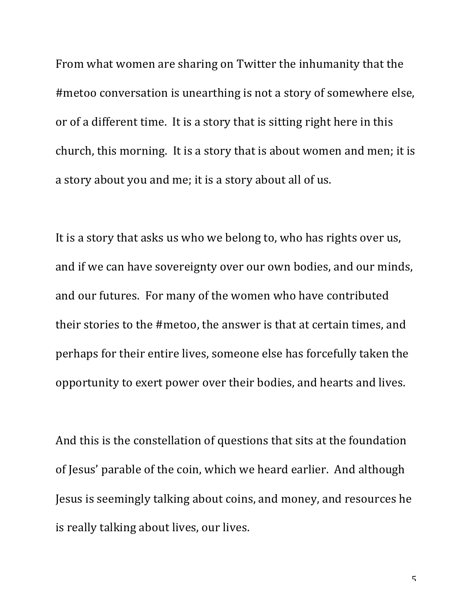From what women are sharing on Twitter the inhumanity that the #metoo conversation is unearthing is not a story of somewhere else, or of a different time. It is a story that is sitting right here in this church, this morning. It is a story that is about women and men; it is a story about you and me; it is a story about all of us.

It is a story that asks us who we belong to, who has rights over us, and if we can have sovereignty over our own bodies, and our minds, and our futures. For many of the women who have contributed their stories to the #metoo, the answer is that at certain times, and perhaps for their entire lives, someone else has forcefully taken the opportunity to exert power over their bodies, and hearts and lives.

And this is the constellation of questions that sits at the foundation of Jesus' parable of the coin, which we heard earlier. And although Jesus is seemingly talking about coins, and money, and resources he is really talking about lives, our lives.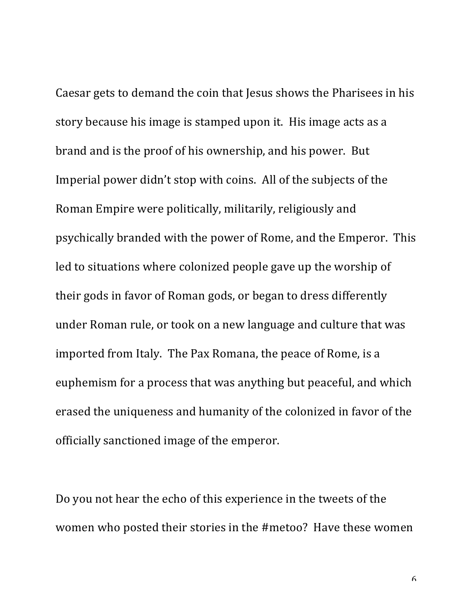Caesar gets to demand the coin that Jesus shows the Pharisees in his story because his image is stamped upon it. His image acts as a brand and is the proof of his ownership, and his power. But Imperial power didn't stop with coins. All of the subjects of the Roman Empire were politically, militarily, religiously and psychically branded with the power of Rome, and the Emperor. This led to situations where colonized people gave up the worship of their gods in favor of Roman gods, or began to dress differently under Roman rule, or took on a new language and culture that was imported from Italy. The Pax Romana, the peace of Rome, is a euphemism for a process that was anything but peaceful, and which erased the uniqueness and humanity of the colonized in favor of the officially sanctioned image of the emperor.

Do you not hear the echo of this experience in the tweets of the women who posted their stories in the #metoo? Have these women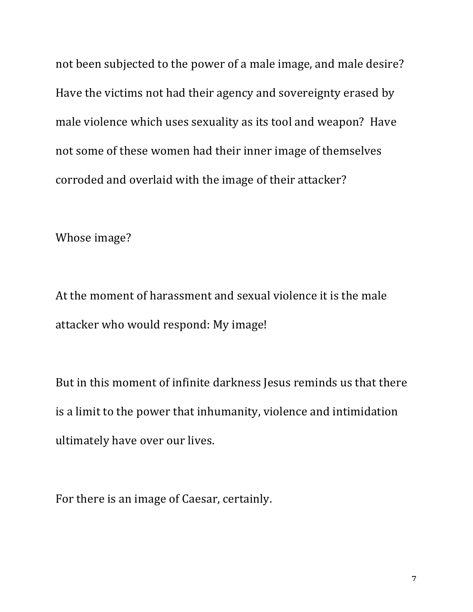not been subjected to the power of a male image, and male desire? Have the victims not had their agency and sovereignty erased by male violence which uses sexuality as its tool and weapon? Have not some of these women had their inner image of themselves corroded and overlaid with the image of their attacker?

Whose image?

At the moment of harassment and sexual violence it is the male attacker who would respond: My image!

But in this moment of infinite darkness Jesus reminds us that there is a limit to the power that inhumanity, violence and intimidation ultimately have over our lives.

For there is an image of Caesar, certainly.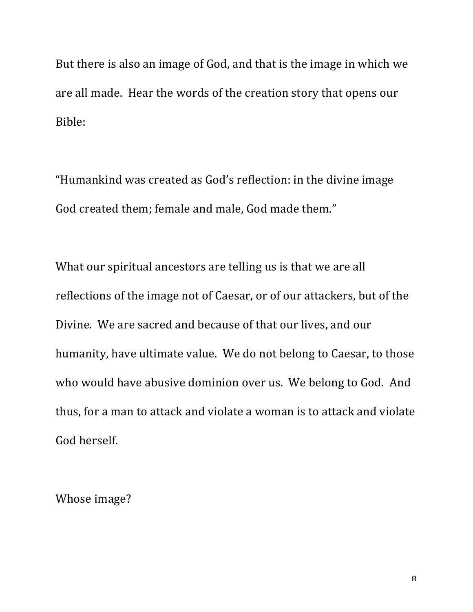But there is also an image of God, and that is the image in which we are all made. Hear the words of the creation story that opens our Bible:

"Humankind was created as God's reflection: in the divine image God created them; female and male, God made them."

What our spiritual ancestors are telling us is that we are all reflections of the image not of Caesar, or of our attackers, but of the Divine. We are sacred and because of that our lives, and our humanity, have ultimate value. We do not belong to Caesar, to those who would have abusive dominion over us. We belong to God. And thus, for a man to attack and violate a woman is to attack and violate God herself.

Whose image?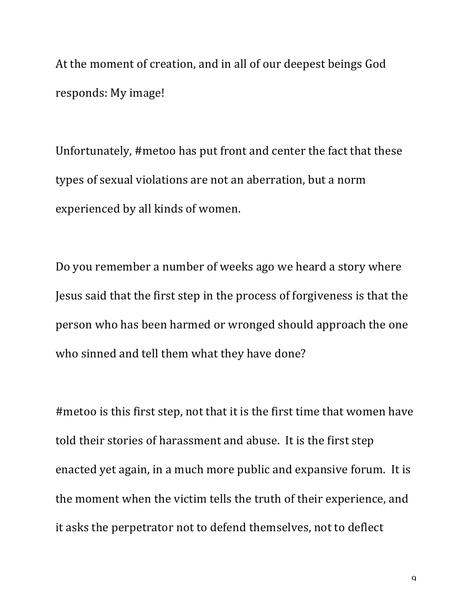At the moment of creation, and in all of our deepest beings God responds: My image!

Unfortunately, #metoo has put front and center the fact that these types of sexual violations are not an aberration, but a norm experienced by all kinds of women.

Do you remember a number of weeks ago we heard a story where Jesus said that the first step in the process of forgiveness is that the person who has been harmed or wronged should approach the one who sinned and tell them what they have done?

#metoo is this first step, not that it is the first time that women have told their stories of harassment and abuse. It is the first step enacted yet again, in a much more public and expansive forum. It is the moment when the victim tells the truth of their experience, and it asks the perpetrator not to defend themselves, not to deflect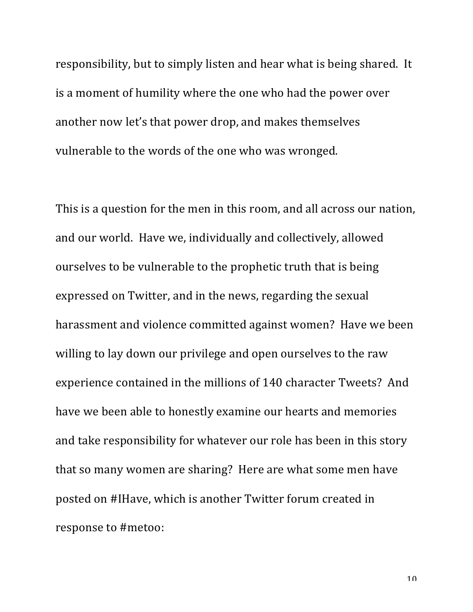responsibility, but to simply listen and hear what is being shared. It is a moment of humility where the one who had the power over another now let's that power drop, and makes themselves vulnerable to the words of the one who was wronged.

This is a question for the men in this room, and all across our nation, and our world. Have we, individually and collectively, allowed ourselves to be vulnerable to the prophetic truth that is being expressed on Twitter, and in the news, regarding the sexual harassment and violence committed against women? Have we been willing to lay down our privilege and open ourselves to the raw experience contained in the millions of 140 character Tweets? And have we been able to honestly examine our hearts and memories and take responsibility for whatever our role has been in this story that so many women are sharing? Here are what some men have posted on #IHave, which is another Twitter forum created in response to #metoo: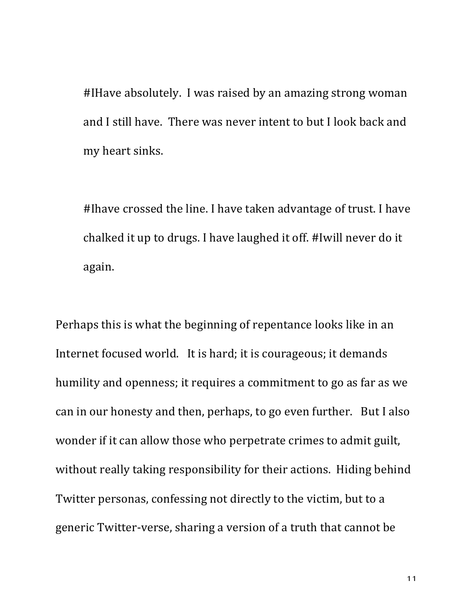#IHave absolutely. I was raised by an amazing strong woman and I still have. There was never intent to but I look back and my heart sinks.

#Ihave crossed the line. I have taken advantage of trust. I have chalked it up to drugs. I have laughed it off. #Iwill never do it again.

Perhaps this is what the beginning of repentance looks like in an Internet focused world. It is hard; it is courageous; it demands humility and openness; it requires a commitment to go as far as we can in our honesty and then, perhaps, to go even further. But I also wonder if it can allow those who perpetrate crimes to admit guilt, without really taking responsibility for their actions. Hiding behind Twitter personas, confessing not directly to the victim, but to a generic Twitter-verse, sharing a version of a truth that cannot be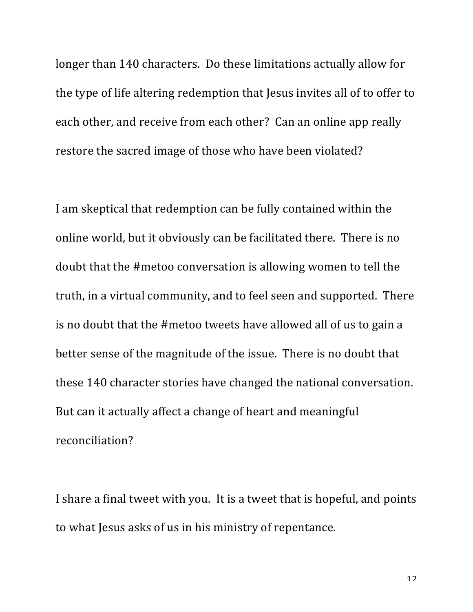longer than 140 characters. Do these limitations actually allow for the type of life altering redemption that Jesus invites all of to offer to each other, and receive from each other? Can an online app really restore the sacred image of those who have been violated?

I am skeptical that redemption can be fully contained within the online world, but it obviously can be facilitated there. There is no doubt that the #metoo conversation is allowing women to tell the truth, in a virtual community, and to feel seen and supported. There is no doubt that the #metoo tweets have allowed all of us to gain a better sense of the magnitude of the issue. There is no doubt that these 140 character stories have changed the national conversation. But can it actually affect a change of heart and meaningful reconciliation?

I share a final tweet with you. It is a tweet that is hopeful, and points to what Jesus asks of us in his ministry of repentance.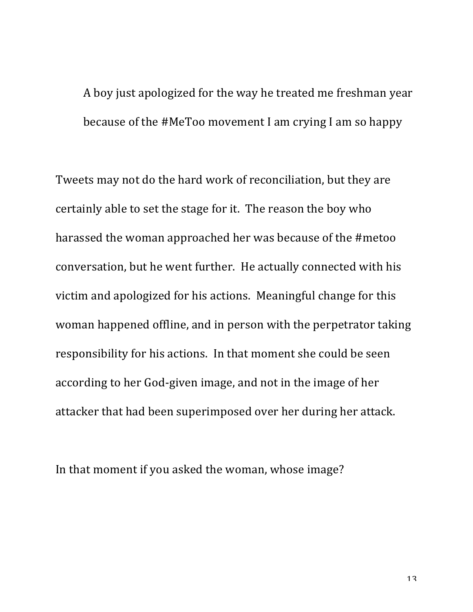A boy just apologized for the way he treated me freshman year because of the #MeToo movement I am crying I am so happy

Tweets may not do the hard work of reconciliation, but they are certainly able to set the stage for it. The reason the boy who harassed the woman approached her was because of the #metoo conversation, but he went further. He actually connected with his victim and apologized for his actions. Meaningful change for this woman happened offline, and in person with the perpetrator taking responsibility for his actions. In that moment she could be seen according to her God-given image, and not in the image of her attacker that had been superimposed over her during her attack.

In that moment if you asked the woman, whose image?